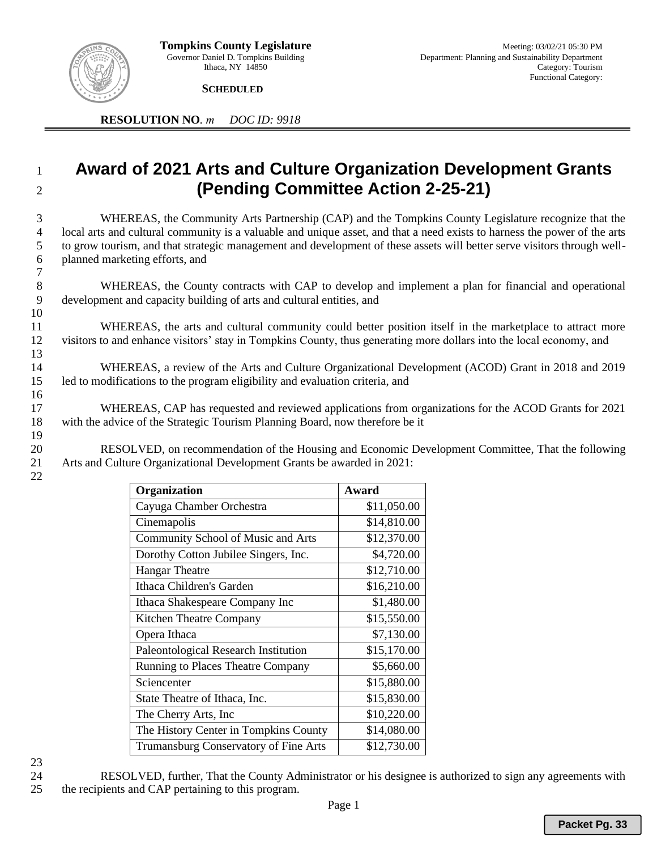

**SCHEDULED** 

**RESOLUTION NO***. m DOC ID: 9918*

## <sup>1</sup> **Award of 2021 Arts and Culture Organization Development Grants**  <sup>2</sup> **(Pending Committee Action 2-25-21)**

 WHEREAS, the Community Arts Partnership (CAP) and the Tompkins County Legislature recognize that the local arts and cultural community is a valuable and unique asset, and that a need exists to harness the power of the arts to grow tourism, and that strategic management and development of these assets will better serve visitors through well- planned marketing efforts, and 7

- 8 WHEREAS, the County contracts with CAP to develop and implement a plan for financial and operational 9 development and capacity building of arts and cultural entities, and
- 11 WHEREAS, the arts and cultural community could better position itself in the marketplace to attract more 12 visitors to and enhance visitors' stay in Tompkins County, thus generating more dollars into the local economy, and 13
- 14 WHEREAS, a review of the Arts and Culture Organizational Development (ACOD) Grant in 2018 and 2019 15 led to modifications to the program eligibility and evaluation criteria, and
- 17 WHEREAS, CAP has requested and reviewed applications from organizations for the ACOD Grants for 2021 18 with the advice of the Strategic Tourism Planning Board, now therefore be it 19
- 20 RESOLVED, on recommendation of the Housing and Economic Development Committee, That the following 21 Arts and Culture Organizational Development Grants be awarded in 2021:

| Organization                          | Award       |
|---------------------------------------|-------------|
| Cayuga Chamber Orchestra              | \$11,050.00 |
| Cinemapolis                           | \$14,810.00 |
| Community School of Music and Arts    | \$12,370.00 |
| Dorothy Cotton Jubilee Singers, Inc.  | \$4,720.00  |
| <b>Hangar Theatre</b>                 | \$12,710.00 |
| Ithaca Children's Garden              | \$16,210.00 |
| Ithaca Shakespeare Company Inc        | \$1,480.00  |
| Kitchen Theatre Company               | \$15,550.00 |
| Opera Ithaca                          | \$7,130.00  |
| Paleontological Research Institution  | \$15,170.00 |
| Running to Places Theatre Company     | \$5,660.00  |
| Sciencenter                           | \$15,880.00 |
| State Theatre of Ithaca, Inc.         | \$15,830.00 |
| The Cherry Arts, Inc.                 | \$10,220.00 |
| The History Center in Tompkins County | \$14,080.00 |
| Trumansburg Conservatory of Fine Arts | \$12,730.00 |

23

10

16

22

24 RESOLVED, further, That the County Administrator or his designee is authorized to sign any agreements with 25 the recipients and CAP pertaining to this program.